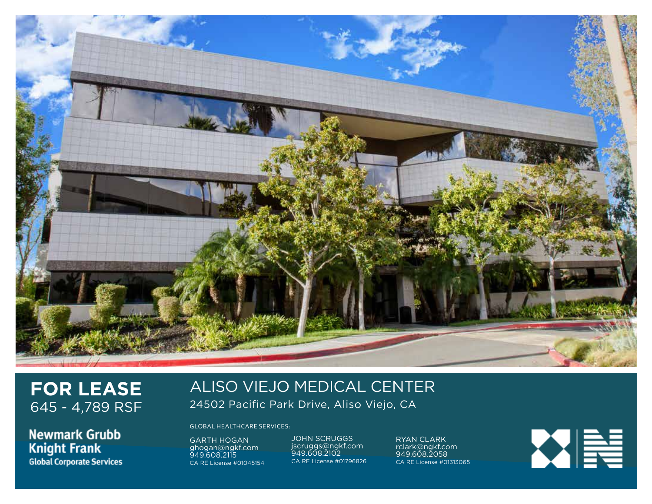

# **FOR LEASE** 645 - 4,789 RSF

**Newmark Grubb Knight Frank Global Corporate Services** 

## ALISO VIEJO MEDICAL CENTER 24502 Pacific Park Drive, Aliso Viejo, CA

GLOBAL HEALTHCARE SERVICES:

GARTH HOGAN ghogan@ngkf.com 949.608.2115 CA RE License #01045154 JOHN SCRUGGS jscruggs@ngkf.com 949.608.2102 CA RE License #01796826

RYAN CLARK rclark@ngkf.com 949.608.2058 CA RE License #01313065

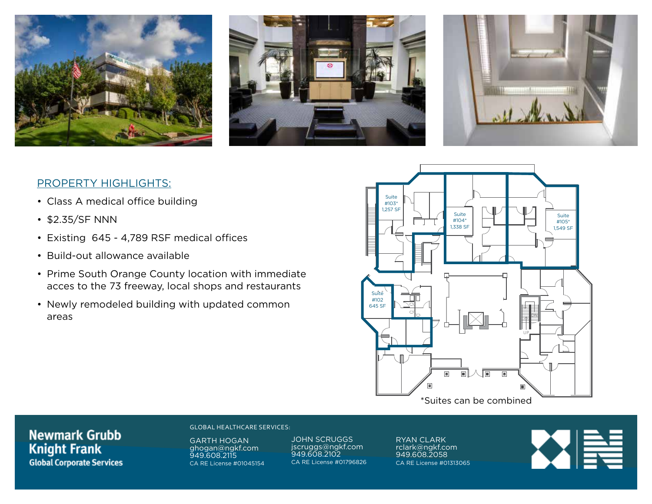





#### PROPERTY HIGHLIGHTS:

- Class A medical office building
- \$2.35/SF NNN
- Existing 645 4,789 RSF medical offices
- Build-out allowance available
- Prime South Orange County location with immediate acces to the 73 freeway, local shops and restaurants
- Newly remodeled building with updated common areas



### **Newmark Grubb Knight Frank Global Corporate Services**

#### GLOBAL HEALTHCARE SERVICES:

GARTH HOGAN ghogan@ngkf.com 949.608.2115 CA RE License #01045154 JOHN SCRUGGS jscruggs@ngkf.com 949.608.2102 CA RE License #01796826 RYAN CLARK rclark@ngkf.com 949.608.2058 CA RE License #01313065